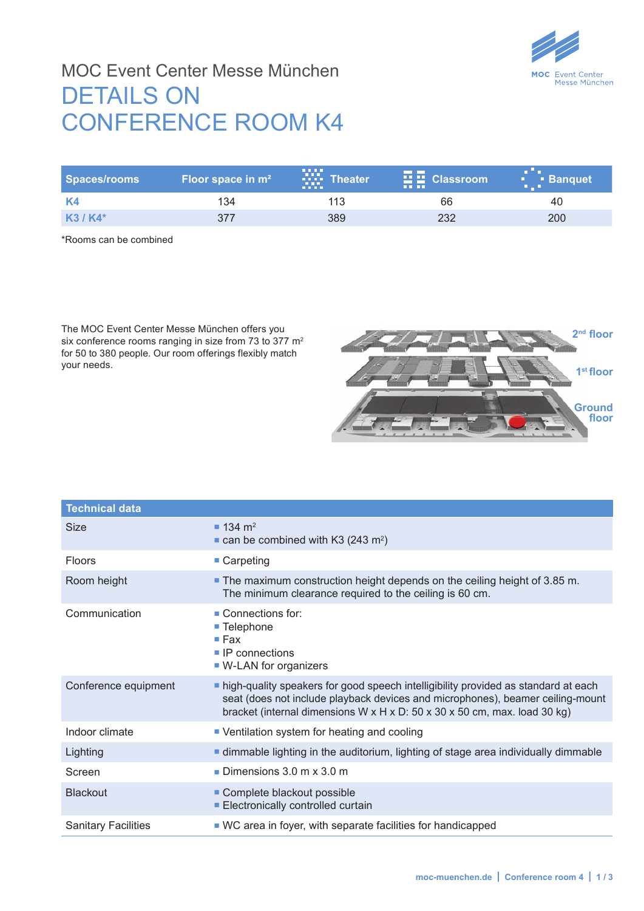

## MOC Event Center Messe München DETAILS ON CONFERENCE ROOM K4

| Spaces/rooms | Floor space in $m2$ | .<br><b>W</b> : Theater<br><b>BRIDE</b> | $\mathbf{E}$ $\mathbf{E}$ Classroom<br><b>THE THE</b> | ". Banquet |
|--------------|---------------------|-----------------------------------------|-------------------------------------------------------|------------|
|              | 134                 |                                         | 66                                                    |            |
| $K3/K4*$     |                     | 389                                     | 232                                                   | 200        |

\*Rooms can be combined

The MOC Event Center Messe München offers you six conference rooms ranging in size from 73 to 377 m<sup>2</sup> for 50 to 380 people. Our room offerings flexibly match your needs.



| <b>Technical data</b>      |                                                                                                                                                                                                                                                   |  |
|----------------------------|---------------------------------------------------------------------------------------------------------------------------------------------------------------------------------------------------------------------------------------------------|--|
| <b>Size</b>                | $134 \text{ m}^2$<br>$\blacksquare$ can be combined with K3 (243 m <sup>2</sup> )                                                                                                                                                                 |  |
| <b>Floors</b>              | ■ Carpeting                                                                                                                                                                                                                                       |  |
| Room height                | • The maximum construction height depends on the ceiling height of 3.85 m.<br>The minimum clearance required to the ceiling is 60 cm.                                                                                                             |  |
| Communication              | $\blacksquare$ Connections for:<br>■ Telephone<br>$\blacksquare$ Fax<br>$\blacksquare$ IP connections<br>■ W-LAN for organizers                                                                                                                   |  |
| Conference equipment       | nigh-quality speakers for good speech intelligibility provided as standard at each<br>seat (does not include playback devices and microphones), beamer ceiling-mount<br>bracket (internal dimensions W x H x D: 50 x 30 x 50 cm, max. load 30 kg) |  |
| Indoor climate             | • Ventilation system for heating and cooling                                                                                                                                                                                                      |  |
| Lighting                   | <b>If dimmable lighting in the auditorium, lighting of stage area individually dimmable</b>                                                                                                                                                       |  |
| Screen                     | Dimensions $3.0 \text{ m} \times 3.0 \text{ m}$                                                                                                                                                                                                   |  |
| <b>Blackout</b>            | Complete blackout possible<br>Electronically controlled curtain                                                                                                                                                                                   |  |
| <b>Sanitary Facilities</b> | ■ WC area in foyer, with separate facilities for handicapped                                                                                                                                                                                      |  |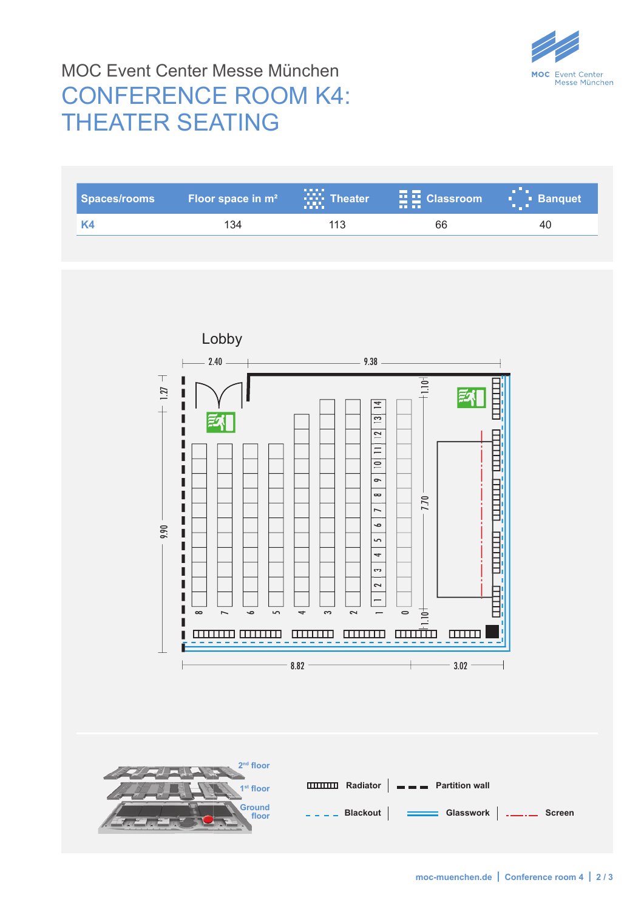

## MOC Event Center Messe München CONFERENCE ROOM K4: THEATER SEATING

| <b>Spaces/rooms</b> | Floor space in m <sup>2</sup>                                                                                                                                  | $\sum_{i=1}^{n}$ Theater                                                                                                                                                                                                                           | 贎<br><b>Classroom</b>                                                                            | a Pa<br><b>Banquet</b><br>$\bigoplus$ |
|---------------------|----------------------------------------------------------------------------------------------------------------------------------------------------------------|----------------------------------------------------------------------------------------------------------------------------------------------------------------------------------------------------------------------------------------------------|--------------------------------------------------------------------------------------------------|---------------------------------------|
| K4                  | 134                                                                                                                                                            | 113                                                                                                                                                                                                                                                | 66                                                                                               | 40                                    |
|                     |                                                                                                                                                                |                                                                                                                                                                                                                                                    |                                                                                                  |                                       |
| 1.27<br>9.90        | Lobby<br>$2.40\,$<br>L<br>Г<br>I<br>ı<br>ı<br>ı<br>L<br>ı<br>ı<br>I<br>Γ<br>П<br>Γ<br>$\overline{\phantom{0}}$<br>$\bullet$<br>$\overline{5}$<br>$\infty$<br>. | 9.38<br>$\vert \frac{4}{\vert}$<br>$\overline{13}$<br>$\overline{12}$<br>$=$<br>$\overline{10}$<br>$\sim$<br>$\infty$<br>I<br>۰,<br>5<br>4<br>3<br>2<br>$\overline{\phantom{0}}$<br>S<br>$\sim$<br>$\overline{\phantom{a}}$<br>mmm<br><b>THEFT</b> | $+1.10 -$<br>E<br><b>HELEL</b><br>7.70<br>Ë<br>$-1.10 +$<br>$\qquad \qquad \circ$<br>mum<br>mm   |                                       |
|                     |                                                                                                                                                                |                                                                                                                                                                                                                                                    |                                                                                                  |                                       |
|                     |                                                                                                                                                                |                                                                                                                                                                                                                                                    |                                                                                                  |                                       |
|                     | 2 <sup>nd</sup> floor<br>1 <sup>st</sup> floor<br>Ground<br>floor                                                                                              |                                                                                                                                                                                                                                                    | <b>THE Radiator   - Fartition wall</b><br>---- Blackout   <del>---</del> Glasswork   ---- Screen |                                       |